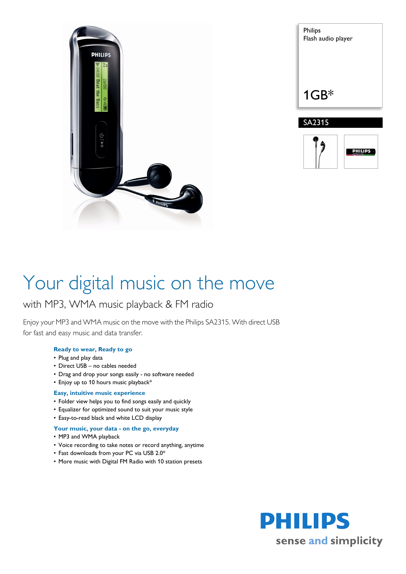

| Philips<br>Flash audio player |
|-------------------------------|
| $1GB*$                        |
| SA2315                        |
|                               |



# Your digital music on the move

### with MP3, WMA music playback & FM radio

Enjoy your MP3 and WMA music on the move with the Philips SA2315. With direct USB for fast and easy music and data transfer.

#### **Ready to wear, Ready to go**

- Plug and play data
- Direct USB no cables needed
- Drag and drop your songs easily no software needed
- Enjoy up to 10 hours music playback\*

#### **Easy, intuitive music experience**

- Folder view helps you to find songs easily and quickly
- Equalizer for optimized sound to suit your music style
- Easy-to-read black and white LCD display
- **Your music, your data on the go, everyday**
- MP3 and WMA playback
- Voice recording to take notes or record anything, anytime
- Fast downloads from your PC via USB 2.0\*
- More music with Digital FM Radio with 10 station presets